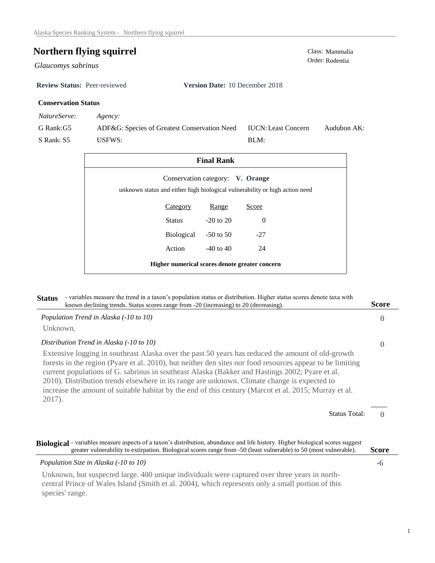# **Northern flying squirrel** Class: Mammalia Class: Mammalia Order: Rodentia

 $Glaucomys$  sabrinus

**Review Status:** Peer-reviewed **Version Date:** 10 December 2018

## **Conservation Status**

*NatureServe: Agency:*

G Rank:G5 S Rank: S5 ADF&G: Species of Greatest Conservation Need USFWS: Audubon AK: BLM: IUCN:Least Concern

| <b>Final Rank</b>                                                                                               |                      |               |          |  |  |  |
|-----------------------------------------------------------------------------------------------------------------|----------------------|---------------|----------|--|--|--|
| Conservation category: V. Orange<br>unknown status and either high biological vulnerability or high action need |                      |               |          |  |  |  |
|                                                                                                                 | Category             | Range         | Score    |  |  |  |
|                                                                                                                 | Status               | $-20$ to $20$ | $\Omega$ |  |  |  |
|                                                                                                                 | Biological -50 to 50 |               | $-27$    |  |  |  |
|                                                                                                                 | Action               | $-40$ to $40$ | 24       |  |  |  |
| Higher numerical scores denote greater concern                                                                  |                      |               |          |  |  |  |

| - variables measure the trend in a taxon's population status or distribution. Higher status scores denote taxa with<br><b>Status</b><br>known declining trends. Status scores range from -20 (increasing) to 20 (decreasing).                                                                                                                                                                                                                                                                                                       | <b>Score</b>     |
|-------------------------------------------------------------------------------------------------------------------------------------------------------------------------------------------------------------------------------------------------------------------------------------------------------------------------------------------------------------------------------------------------------------------------------------------------------------------------------------------------------------------------------------|------------------|
| Population Trend in Alaska (-10 to 10)                                                                                                                                                                                                                                                                                                                                                                                                                                                                                              | $\left( \right)$ |
| Unknown.                                                                                                                                                                                                                                                                                                                                                                                                                                                                                                                            |                  |
| Distribution Trend in Alaska (-10 to 10)                                                                                                                                                                                                                                                                                                                                                                                                                                                                                            | $\Omega$         |
| Extensive logging in southeast Alaska over the past 50 years has reduced the amount of old-growth<br>forests in the region (Pyare et al. 2010), but neither den sites nor food resources appear to be limiting<br>current populations of G. sabrinus in southeast Alaska (Bakker and Hastings 2002; Pyare et al.<br>2010). Distribution trends elsewhere in its range are unknown. Climate change is expected to<br>increase the amount of suitable habitat by the end of this century (Marcot et al. 2015; Murray et al.<br>2017). |                  |
| <b>Status Total:</b>                                                                                                                                                                                                                                                                                                                                                                                                                                                                                                                |                  |
| Biological - variables measure aspects of a taxon's distribution, abundance and life history. Higher biological scores suggest<br>greater vulnerability to extirpation. Biological scores range from -50 (least vulnerable) to 50 (most vulnerable).                                                                                                                                                                                                                                                                                | <b>Score</b>     |
| Population Size in Alaska (-10 to 10)                                                                                                                                                                                                                                                                                                                                                                                                                                                                                               | -6               |
| Unknown, but suspected large. 400 unique individuals were captured over three years in north-                                                                                                                                                                                                                                                                                                                                                                                                                                       |                  |

central Prince of Wales Island (Smith et al. 2004), which represents only a small portion of this species' range.

1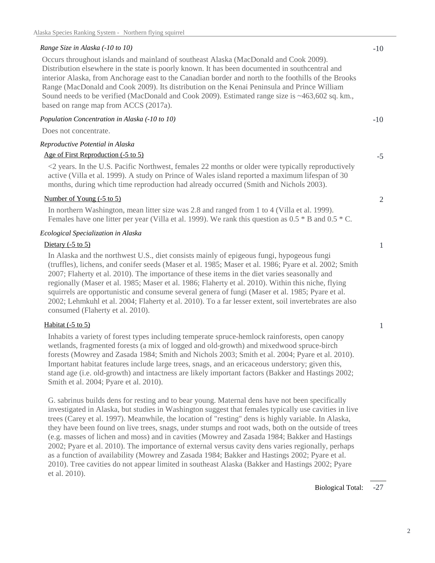#### *Range Size in Alaska (-10 to 10)*

Occurs throughout islands and mainland of southeast Alaska (MacDonald and Cook 2009). Distribution elsewhere in the state is poorly known. It has been documented in southcentral and interior Alaska, from Anchorage east to the Canadian border and north to the foothills of the Brooks Range (MacDonald and Cook 2009). Its distribution on the Kenai Peninsula and Prince William Sound needs to be verified (MacDonald and Cook 2009). Estimated range size is ~463,602 sq. km., based on range map from ACCS (2017a).

#### *Population Concentration in Alaska (-10 to 10)*

Does not concentrate.

### *Reproductive Potential in Alaska*

### Age of First Reproduction (-5 to 5)

<2 years. In the U.S. Pacific Northwest, females 22 months or older were typically reproductively active (Villa et al. 1999). A study on Prince of Wales island reported a maximum lifespan of 30 months, during which time reproduction had already occurred (Smith and Nichols 2003).

### Number of Young (-5 to 5)

In northern Washington, mean litter size was 2.8 and ranged from 1 to 4 (Villa et al. 1999). Females have one litter per year (Villa et al. 1999). We rank this question as 0.5 \* B and 0.5 \* C.

### *Ecological Specialization in Alaska*

#### Dietary  $(-5 \text{ to } 5)$

In Alaska and the northwest U.S., diet consists mainly of epigeous fungi, hypogeous fungi (truffles), lichens, and conifer seeds (Maser et al. 1985; Maser et al. 1986; Pyare et al. 2002; Smith 2007; Flaherty et al. 2010). The importance of these items in the diet varies seasonally and regionally (Maser et al. 1985; Maser et al. 1986; Flaherty et al. 2010). Within this niche, flying squirrels are opportunistic and consume several genera of fungi (Maser et al. 1985; Pyare et al. 2002; Lehmkuhl et al. 2004; Flaherty et al. 2010). To a far lesser extent, soil invertebrates are also consumed (Flaherty et al. 2010).

#### Habitat  $(-5 \text{ to } 5)$

Inhabits a variety of forest types including temperate spruce-hemlock rainforests, open canopy wetlands, fragmented forests (a mix of logged and old-growth) and mixedwood spruce-birch forests (Mowrey and Zasada 1984; Smith and Nichols 2003; Smith et al. 2004; Pyare et al. 2010). Important habitat features include large trees, snags, and an ericaceous understory; given this, stand age (i.e. old-growth) and intactness are likely important factors (Bakker and Hastings 2002; Smith et al. 2004; Pyare et al. 2010).

G. sabrinus builds dens for resting and to bear young. Maternal dens have not been specifically investigated in Alaska, but studies in Washington suggest that females typically use cavities in live trees (Carey et al. 1997). Meanwhile, the location of "resting" dens is highly variable. In Alaska, they have been found on live trees, snags, under stumps and root wads, both on the outside of trees (e.g. masses of lichen and moss) and in cavities (Mowrey and Zasada 1984; Bakker and Hastings 2002; Pyare et al. 2010). The importance of external versus cavity dens varies regionally, perhaps as a function of availability (Mowrey and Zasada 1984; Bakker and Hastings 2002; Pyare et al. 2010). Tree cavities do not appear limited in southeast Alaska (Bakker and Hastings 2002; Pyare et al. 2010).

-5

-10

2

1

1

-27 Biological Total: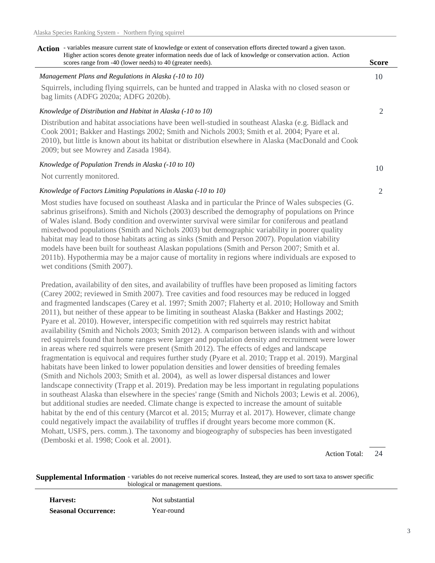| - variables measure current state of knowledge or extent of conservation efforts directed toward a given taxon.<br>Action<br>Higher action scores denote greater information needs due of lack of knowledge or conservation action. Action                                                                                                           |              |
|------------------------------------------------------------------------------------------------------------------------------------------------------------------------------------------------------------------------------------------------------------------------------------------------------------------------------------------------------|--------------|
| scores range from -40 (lower needs) to 40 (greater needs).                                                                                                                                                                                                                                                                                           | <b>Score</b> |
| Management Plans and Regulations in Alaska (-10 to 10)                                                                                                                                                                                                                                                                                               | 10           |
| Squirrels, including flying squirrels, can be hunted and trapped in Alaska with no closed season or<br>bag limits (ADFG 2020a; ADFG 2020b).                                                                                                                                                                                                          |              |
| Knowledge of Distribution and Habitat in Alaska (-10 to 10)                                                                                                                                                                                                                                                                                          |              |
| Distribution and habitat associations have been well-studied in southeast Alaska (e.g. Bidlack and<br>Cook 2001; Bakker and Hastings 2002; Smith and Nichols 2003; Smith et al. 2004; Pyare et al.<br>2010), but little is known about its habitat or distribution elsewhere in Alaska (MacDonald and Cook<br>2009; but see Mowrey and Zasada 1984). |              |
| Knowledge of Population Trends in Alaska (-10 to 10)<br>Not currently monitored.                                                                                                                                                                                                                                                                     | 10           |

#### *Knowledge of Factors Limiting Populations in Alaska (-10 to 10)*

Most studies have focused on southeast Alaska and in particular the Prince of Wales subspecies (G. sabrinus griseifrons). Smith and Nichols (2003) described the demography of populations on Prince of Wales island. Body condition and overwinter survival were similar for coniferous and peatland mixedwood populations (Smith and Nichols 2003) but demographic variability in poorer quality habitat may lead to those habitats acting as sinks (Smith and Person 2007). Population viability models have been built for southeast Alaskan populations (Smith and Person 2007; Smith et al. 2011b). Hypothermia may be a major cause of mortality in regions where individuals are exposed to wet conditions (Smith 2007).

Predation, availability of den sites, and availability of truffles have been proposed as limiting factors (Carey 2002; reviewed in Smith 2007). Tree cavities and food resources may be reduced in logged and fragmented landscapes (Carey et al. 1997; Smith 2007; Flaherty et al. 2010; Holloway and Smith 2011), but neither of these appear to be limiting in southeast Alaska (Bakker and Hastings 2002; Pyare et al. 2010). However, interspecific competition with red squirrels may restrict habitat availability (Smith and Nichols 2003; Smith 2012). A comparison between islands with and without red squirrels found that home ranges were larger and population density and recruitment were lower in areas where red squirrels were present (Smith 2012). The effects of edges and landscape fragmentation is equivocal and requires further study (Pyare et al. 2010; Trapp et al. 2019). Marginal habitats have been linked to lower population densities and lower densities of breeding females (Smith and Nichols 2003; Smith et al. 2004), as well as lower dispersal distances and lower landscape connectivity (Trapp et al. 2019). Predation may be less important in regulating populations in southeast Alaska than elsewhere in the species' range (Smith and Nichols 2003; Lewis et al. 2006), but additional studies are needed. Climate change is expected to increase the amount of suitable habitat by the end of this century (Marcot et al. 2015; Murray et al. 2017). However, climate change could negatively impact the availability of truffles if drought years become more common (K. Mohatt, USFS, pers. comm.). The taxonomy and biogeography of subspecies has been investigated (Demboski et al. 1998; Cook et al. 2001).

> 24 Action Total:

2

**Supplemental Information** - variables do not receive numerical scores. Instead, they are used to sort taxa to answer specific biological or management questions.

**Harvest:** Not substantial **Seasonal Occurrence:** Year-round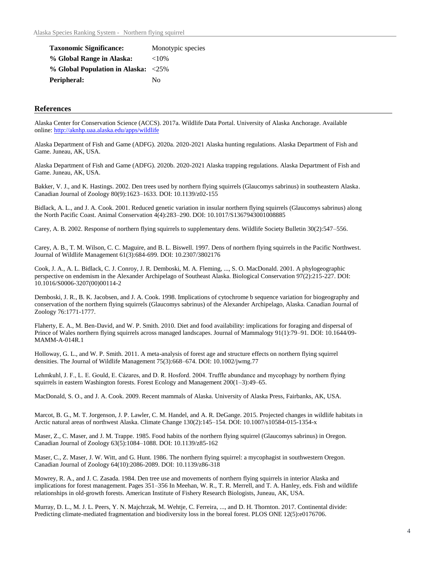| <b>Taxonomic Significance:</b>                   | Monotypic species |
|--------------------------------------------------|-------------------|
| % Global Range in Alaska:                        | ${<}10\%$         |
| $\%$ Global Population in Alaska: $\langle 25\%$ |                   |
| Peripheral:                                      | Nο                |

#### **References**

Alaska Center for Conservation Science (ACCS). 2017a. Wildlife Data Portal. University of Alaska Anchorage. Available online: http://aknhp.uaa.alaska.edu/apps/wildlife

Alaska Department of Fish and Game (ADFG). 2020a. 2020-2021 Alaska hunting regulations. Alaska Department of Fish and Game. Juneau, AK, USA.

Alaska Department of Fish and Game (ADFG). 2020b. 2020-2021 Alaska trapping regulations. Alaska Department of Fish and Game. Juneau, AK, USA.

Bakker, V. J., and K. Hastings. 2002. Den trees used by northern flying squirrels (Glaucomys sabrinus) in southeastern Alaska. Canadian Journal of Zoology 80(9):1623–1633. DOI: 10.1139/z02-155

Bidlack, A. L., and J. A. Cook. 2001. Reduced genetic variation in insular northern flying squirrels (Glaucomys sabrinus) along the North Pacific Coast. Animal Conservation 4(4):283–290. DOI: 10.1017/S1367943001008885

Carey, A. B. 2002. Response of northern flying squirrels to supplementary dens. Wildlife Society Bulletin 30(2):547–556.

Carey, A. B., T. M. Wilson, C. C. Maguire, and B. L. Biswell. 1997. Dens of northern flying squirrels in the Pacific Northwest. Journal of Wildlife Management 61(3):684-699. DOI: 10.2307/3802176

Cook, J. A., A. L. Bidlack, C. J. Conroy, J. R. Demboski, M. A. Fleming, ..., S. O. MacDonald. 2001. A phylogeographic perspective on endemism in the Alexander Archipelago of Southeast Alaska. Biological Conservation 97(2):215-227. DOI: 10.1016/S0006-3207(00)00114-2

Demboski, J. R., B. K. Jacobsen, and J. A. Cook. 1998. Implications of cytochrome b sequence variation for biogeography and conservation of the northern flying squirrels (Glaucomys sabrinus) of the Alexander Archipelago, Alaska. Canadian Journal of Zoology 76:1771-1777.

Flaherty, E. A., M. Ben-David, and W. P. Smith. 2010. Diet and food availability: implications for foraging and dispersal of Prince of Wales northern flying squirrels across managed landscapes. Journal of Mammalogy 91(1):79–91. DOI: 10.1644/09- MAMM-A-014R.1

Holloway, G. L., and W. P. Smith. 2011. A meta-analysis of forest age and structure effects on northern flying squirrel densities. The Journal of Wildlife Management 75(3):668–674. DOI: 10.1002/jwmg.77

Lehmkuhl, J. F., L. E. Gould, E. Cázares, and D. R. Hosford. 2004. Truffle abundance and mycophagy by northern flying squirrels in eastern Washington forests. Forest Ecology and Management 200(1-3):49-65.

MacDonald, S. O., and J. A. Cook. 2009. Recent mammals of Alaska. University of Alaska Press, Fairbanks, AK, USA.

Marcot, B. G., M. T. Jorgenson, J. P. Lawler, C. M. Handel, and A. R. DeGange. 2015. Projected changes in wildlife habitats in Arctic natural areas of northwest Alaska. Climate Change 130(2):145–154. DOI: 10.1007/s10584-015-1354-x

Maser, Z., C. Maser, and J. M. Trappe. 1985. Food habits of the northern flying squirrel (Glaucomys sabrinus) in Oregon. Canadian Journal of Zoology 63(5):1084–1088. DOI: 10.1139/z85-162

Maser, C., Z. Maser, J. W. Witt, and G. Hunt. 1986. The northern flying squirrel: a mycophagist in southwestern Oregon. Canadian Journal of Zoology 64(10):2086-2089. DOI: 10.1139/z86-318

Mowrey, R. A., and J. C. Zasada. 1984. Den tree use and movements of northern flying squirrels in interior Alaska and implications for forest management. Pages 351–356 In Meehan, W. R., T. R. Merrell, and T. A. Hanley, eds. Fish and wildlife relationships in old-growth forests. American Institute of Fishery Research Biologists, Juneau, AK, USA.

Murray, D. L., M. J. L. Peers, Y. N. Majchrzak, M. Wehtje, C. Ferreira, ..., and D. H. Thornton. 2017. Continental divide: Predicting climate-mediated fragmentation and biodiversity loss in the boreal forest. PLOS ONE 12(5):e0176706.